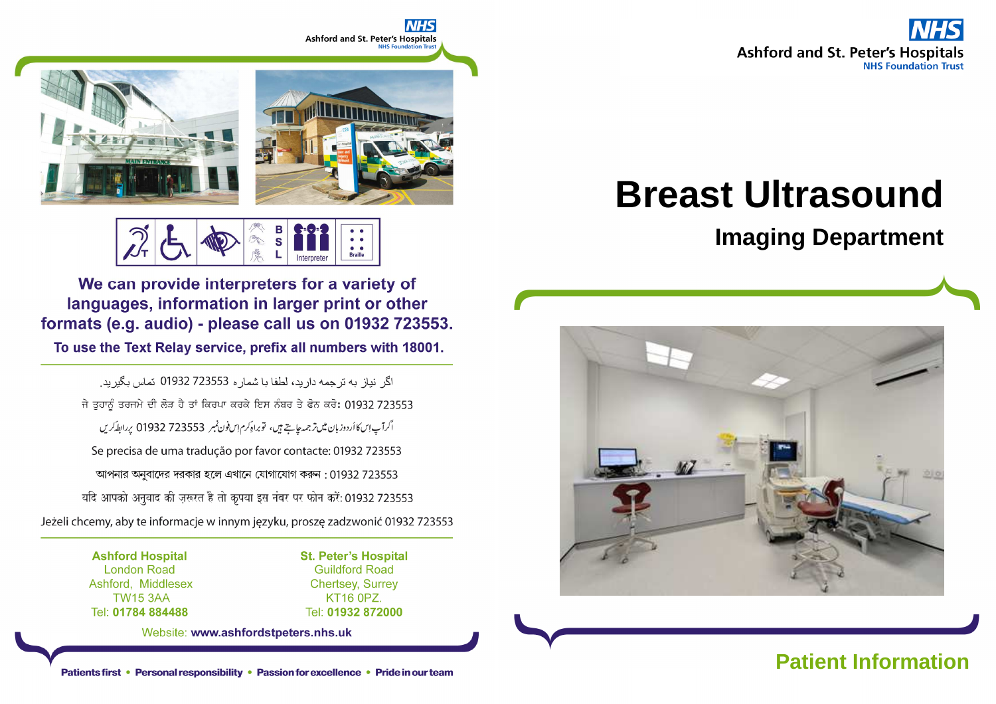**Ashford and St. Peter's Hospitals NHS Foundation Trust** 

# **Ashford and St. Peter's Hospitals**



**Braille** 

We can provide interpreters for a variety of languages, information in larger print or other formats (e.g. audio) - please call us on 01932 723553.

To use the Text Relay service, prefix all numbers with 18001.

اگر نباز به تر جمه دار بد، لطفا با شمار ه 723553 01932 تماس بگیر بد. ਜੇ ਤੁਹਾਨੂੰ ਤਰਜਮੇ ਦੀ ਲੋੜ ਹੈ ਤਾਂ ਕਿਰਪਾ ਕਰਕੇ ਇਸ ਨੰਬਰ ਤੇ ਫੋਨ ਕਰੋ: 01932 723553 اگرآپ اِسكا أردوز بان ميں تر جمہ جاجتے ہيں، توبراہ كرم اِس فون نمبر 723553 01932 پر ابط كريں Se precisa de uma tradução por favor contacte: 01932 723553 আপনার অনুবাদের দরকার হলে এখানে যোগাযোগ করুন : 01932 723553 यदि आपको अनुवाद की ज़रूरत है तो कृपया इस नंबर पर फोन करें: 01932 723553 Jeżeli chcemy, aby te informacje w innym języku, proszę zadzwonić 01932 723553

> **Ashford Hospital London Road** Ashford, Middlesex **TW15 3AA** Tel: 01784 884488

**St. Peter's Hospital Guildford Road Chertsey, Surrey** KT16 0PZ. Tel: 01932 872000

Website: www.ashfordstpeters.nhs.uk

# **Breast Ultrasound**

## **Imaging Department**

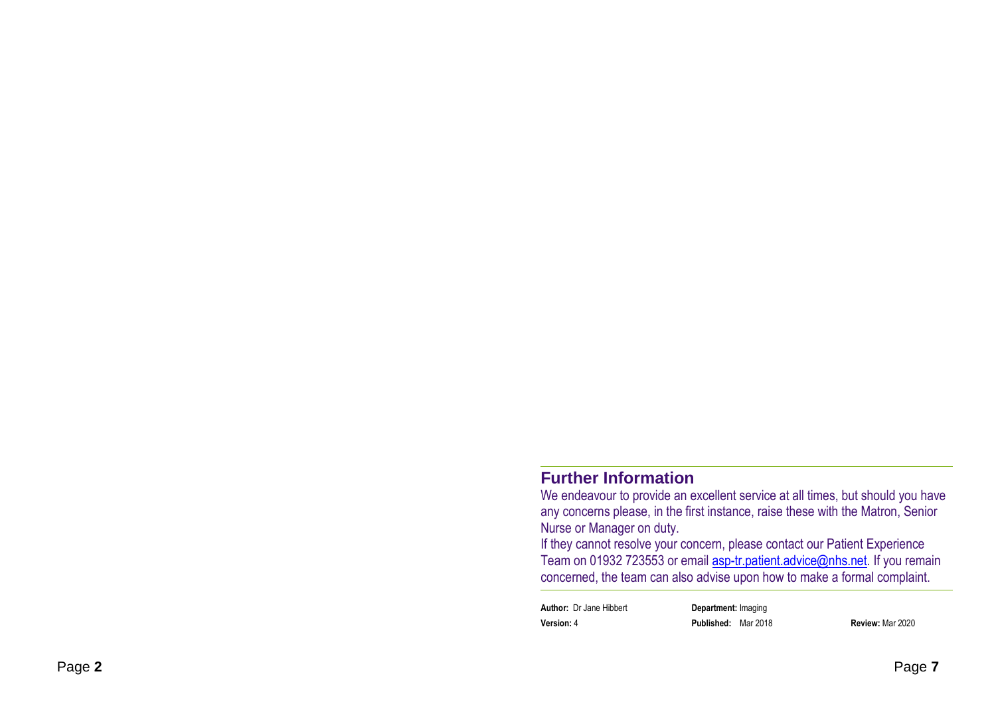#### **Further Information**

 We endeavour to provide an excellent service at all times, but should you have any concerns please, in the first instance, raise these with the Matron, Senior Nurse or Manager on duty.

 If they cannot resolve your concern, please contact our Patient Experience Team on 01932 723553 or email **asp-tr.patient.advice@nhs.net**. If you remain concerned, the team can also advise upon how to make a formal complaint.

**Author:** Dr Jane Hibbert **Department:** Imaging**Version:** 4 **Published:** Mar 2018 **Review:** Mar 2020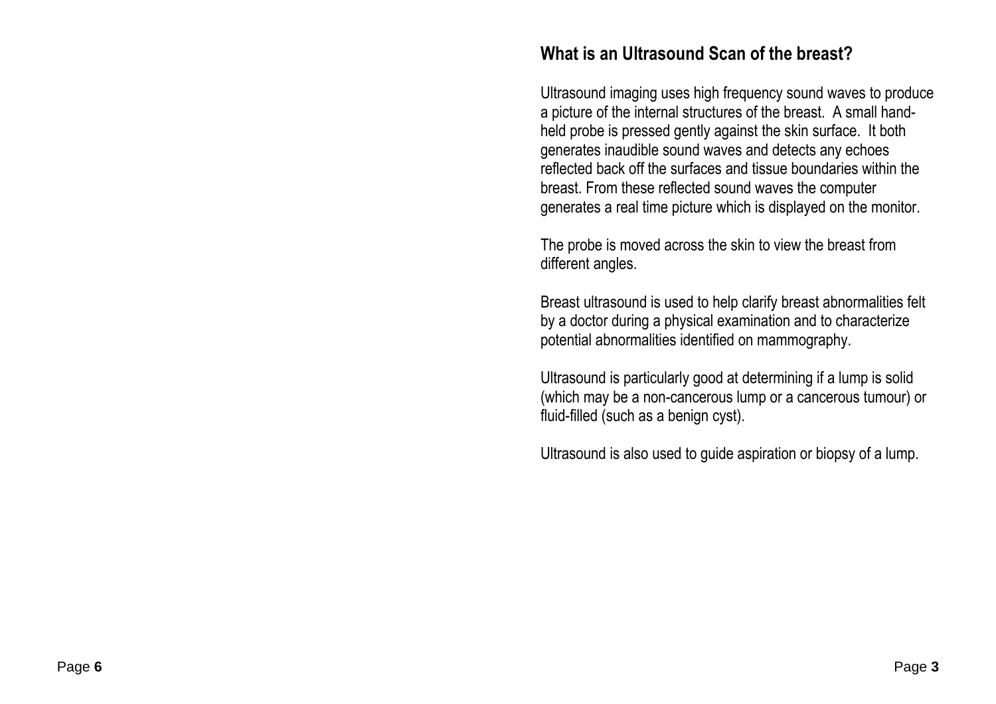#### **What is an Ultrasound Scan of the breast?**

Ultrasound imaging uses high frequency sound waves to produce a picture of the internal structures of the breast. A small handheld probe is pressed gently against the skin surface. It both generates inaudible sound waves and detects any echoes reflected back off the surfaces and tissue boundaries within the breast. From these reflected sound waves the computer generates a real time picture which is displayed on the monitor.

The probe is moved across the skin to view the breast from different angles.

Breast ultrasound is used to help clarify breast abnormalities felt by a doctor during a physical examination and to characterize potential abnormalities identified on mammography.

Ultrasound is particularly good at determining if a lump is solid (which may be a non-cancerous lump or a cancerous tumour) or fluid-filled (such as a benign cyst).

Ultrasound is also used to guide aspiration or biopsy of a lump.